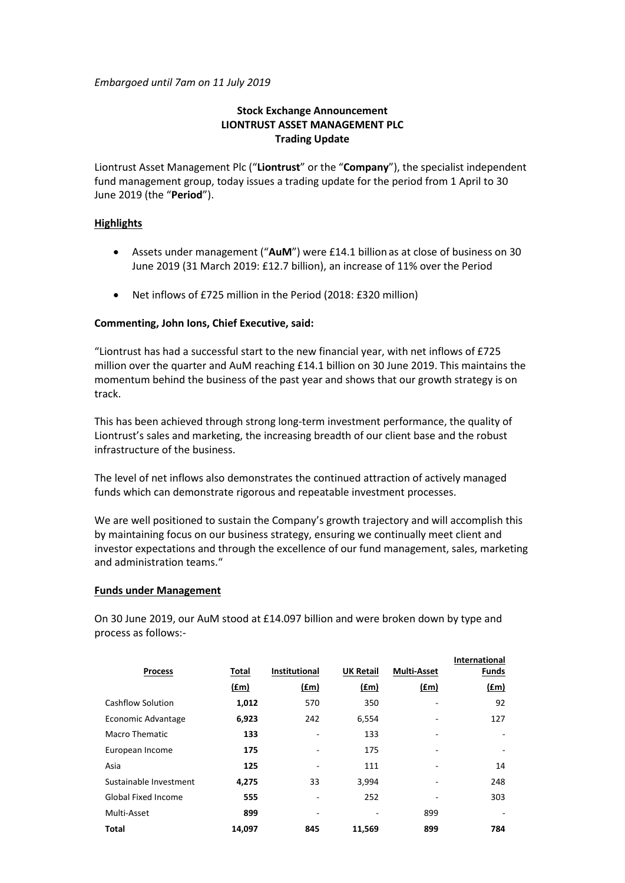*Embargoed until 7am on 11 July 2019*

# **Stock Exchange Announcement LIONTRUST ASSET MANAGEMENT PLC Trading Update**

Liontrust Asset Management Plc ("**Liontrust**" or the "**Company**"), the specialist independent fund management group, today issues a trading update for the period from 1 April to 30 June 2019 (the "**Period**").

## **Highlights**

- Assets under management ("**AuM**") were £14.1 billionas at close of business on 30 June 2019 (31 March 2019: £12.7 billion), an increase of 11% over the Period
- Net inflows of £725 million in the Period (2018: £320 million)

# **Commenting, John Ions, Chief Executive, said:**

"Liontrust has had a successful start to the new financial year, with net inflows of £725 million over the quarter and AuM reaching £14.1 billion on 30 June 2019. This maintains the momentum behind the business of the past year and shows that our growth strategy is on track.

This has been achieved through strong long-term investment performance, the quality of Liontrust's sales and marketing, the increasing breadth of our client base and the robust infrastructure of the business.

The level of net inflows also demonstrates the continued attraction of actively managed funds which can demonstrate rigorous and repeatable investment processes.

We are well positioned to sustain the Company's growth trajectory and will accomplish this by maintaining focus on our business strategy, ensuring we continually meet client and investor expectations and through the excellence of our fund management, sales, marketing and administration teams."

## **Funds under Management**

On 30 June 2019, our AuM stood at £14.097 billion and were broken down by type and process as follows:-

|                            |        |                          |                  |                    | <b>International</b> |
|----------------------------|--------|--------------------------|------------------|--------------------|----------------------|
| <b>Process</b>             | Total  | <b>Institutional</b>     | <b>UK Retail</b> | <b>Multi-Asset</b> | <b>Funds</b>         |
|                            | (fm)   | (fm)                     | (fm)             | (fm)               | (f.m)                |
| Cashflow Solution          | 1,012  | 570                      | 350              |                    | 92                   |
| Economic Advantage         | 6,923  | 242                      | 6,554            | ۰                  | 127                  |
| <b>Macro Thematic</b>      | 133    |                          | 133              | ۰                  |                      |
| European Income            | 175    | $\overline{\phantom{a}}$ | 175              | ٠                  |                      |
| Asia                       | 125    |                          | 111              |                    | 14                   |
| Sustainable Investment     | 4,275  | 33                       | 3,994            | ۰                  | 248                  |
| <b>Global Fixed Income</b> | 555    |                          | 252              | ۰                  | 303                  |
| Multi-Asset                | 899    |                          | -                | 899                |                      |
| Total                      | 14,097 | 845                      | 11,569           | 899                | 784                  |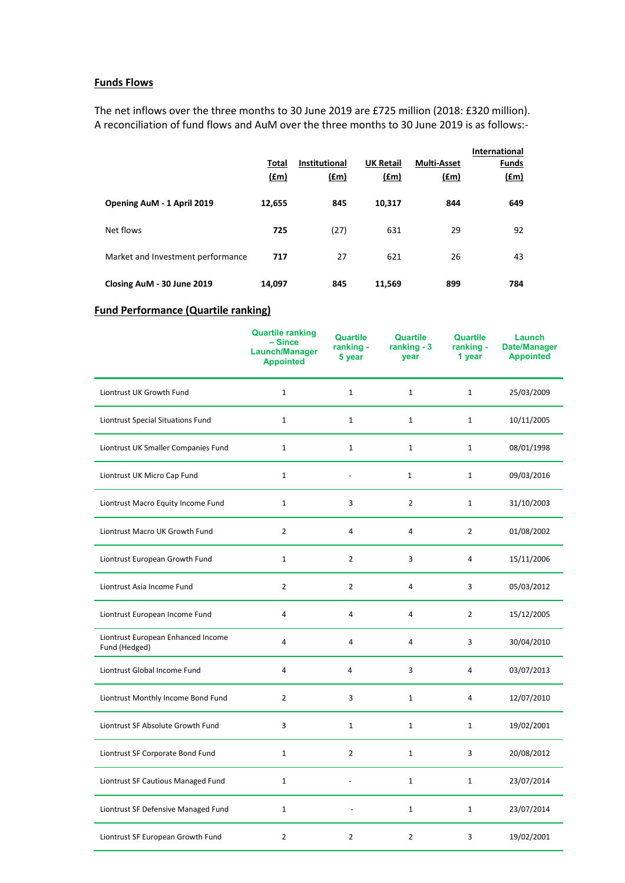# **Funds Flows**

The net inflows over the three months to 30 June 2019 are £725 million (2018: £320 million). A reconciliation of fund flows and AuM over the three months to 30 June 2019 is as follows:-

|                                   | Total<br><u>(£m)</u> | <b>Institutional</b><br><u>(£m)</u> | <b>UK Retail</b><br><u>(£m)</u> | <b>Multi-Asset</b><br><u>(£m)</u> | <b>International</b><br><b>Funds</b><br>f(m) |
|-----------------------------------|----------------------|-------------------------------------|---------------------------------|-----------------------------------|----------------------------------------------|
| Opening AuM - 1 April 2019        | 12,655               | 845                                 | 10,317                          | 844                               | 649                                          |
| Net flows                         | 725                  | (27)                                | 631                             | 29                                | 92                                           |
| Market and Investment performance | 717                  | 27                                  | 621                             | 26                                | 43                                           |
| Closing AuM - 30 June 2019        | 14,097               | 845                                 | 11,569                          | 899                               | 784                                          |

# **Fund Performance (Quartile ranking)**

|                                                     | <b>Quartile ranking</b><br>- Since<br><b>Launch/Manager</b><br><b>Appointed</b> | Quartile<br>ranking -<br>5 year | <b>Quartile</b><br>ranking $-3$<br>year | <b>Quartile</b><br>ranking -<br>1 year | Launch<br>Date/Manager<br><b>Appointed</b> |
|-----------------------------------------------------|---------------------------------------------------------------------------------|---------------------------------|-----------------------------------------|----------------------------------------|--------------------------------------------|
| Liontrust UK Growth Fund                            | $\mathbf{1}$                                                                    | $\mathbf{1}$                    | $\mathbf{1}$                            | $\mathbf{1}$                           | 25/03/2009                                 |
| Liontrust Special Situations Fund                   | $\mathbf{1}$                                                                    | $\mathbf{1}$                    | $\mathbf{1}$                            | $\mathbf{1}$                           | 10/11/2005                                 |
| Liontrust UK Smaller Companies Fund                 | $\mathbf{1}$                                                                    | $1\,$                           | $\mathbf{1}$                            | $\mathbf{1}$                           | 08/01/1998                                 |
| Liontrust UK Micro Cap Fund                         | $\mathbf{1}$                                                                    |                                 | $\mathbf{1}$                            | $\mathbf{1}$                           | 09/03/2016                                 |
| Liontrust Macro Equity Income Fund                  | $\mathbf{1}$                                                                    | 3                               | $\overline{2}$                          | $\mathbf{1}$                           | 31/10/2003                                 |
| Liontrust Macro UK Growth Fund                      | $\overline{2}$                                                                  | 4                               | $\overline{4}$                          | $\overline{2}$                         | 01/08/2002                                 |
| Liontrust European Growth Fund                      | $\mathbf{1}$                                                                    | $\overline{2}$                  | 3                                       | 4                                      | 15/11/2006                                 |
| Liontrust Asia Income Fund                          | $\overline{2}$                                                                  | $\overline{2}$                  | $\overline{4}$                          | 3                                      | 05/03/2012                                 |
| Liontrust European Income Fund                      | 4                                                                               | 4                               | 4                                       | $\overline{2}$                         | 15/12/2005                                 |
| Liontrust European Enhanced Income<br>Fund (Hedged) | 4                                                                               | 4                               | 4                                       | 3                                      | 30/04/2010                                 |
| Liontrust Global Income Fund                        | 4                                                                               | $\overline{4}$                  | 3                                       | 4                                      | 03/07/2013                                 |
| Liontrust Monthly Income Bond Fund                  | $\overline{2}$                                                                  | 3                               | $\mathbf{1}$                            | 4                                      | 12/07/2010                                 |
| Liontrust SF Absolute Growth Fund                   | 3                                                                               | $\mathbf{1}$                    | $\mathbf{1}$                            | $\mathbf{1}$                           | 19/02/2001                                 |
| Liontrust SF Corporate Bond Fund                    | $\mathbf{1}$                                                                    | $\overline{2}$                  | $\mathbf{1}$                            | 3                                      | 20/08/2012                                 |
| Liontrust SF Cautious Managed Fund                  | $\mathbf{1}$                                                                    |                                 | $\mathbf{1}$                            | $\mathbf{1}$                           | 23/07/2014                                 |
| Liontrust SF Defensive Managed Fund                 | $\mathbf{1}$                                                                    |                                 | $\mathbf{1}$                            | $\mathbf{1}$                           | 23/07/2014                                 |
| Liontrust SF European Growth Fund                   | $\overline{2}$                                                                  | $\overline{2}$                  | $\overline{2}$                          | 3                                      | 19/02/2001                                 |